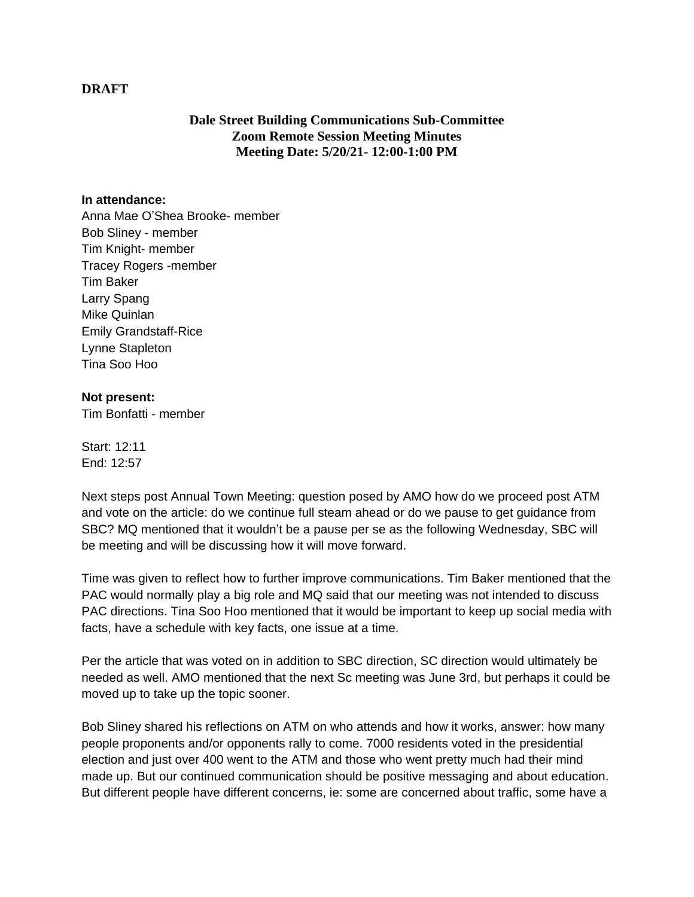## **DRAFT**

## **Dale Street Building Communications Sub-Committee Zoom Remote Session Meeting Minutes Meeting Date: 5/20/21- 12:00-1:00 PM**

## **In attendance:**

Anna Mae O'Shea Brooke- member Bob Sliney - member Tim Knight- member Tracey Rogers -member Tim Baker Larry Spang Mike Quinlan Emily Grandstaff-Rice Lynne Stapleton Tina Soo Hoo

## **Not present:**

Tim Bonfatti - member

Start: 12:11 End: 12:57

Next steps post Annual Town Meeting: question posed by AMO how do we proceed post ATM and vote on the article: do we continue full steam ahead or do we pause to get guidance from SBC? MQ mentioned that it wouldn't be a pause per se as the following Wednesday, SBC will be meeting and will be discussing how it will move forward.

Time was given to reflect how to further improve communications. Tim Baker mentioned that the PAC would normally play a big role and MQ said that our meeting was not intended to discuss PAC directions. Tina Soo Hoo mentioned that it would be important to keep up social media with facts, have a schedule with key facts, one issue at a time.

Per the article that was voted on in addition to SBC direction, SC direction would ultimately be needed as well. AMO mentioned that the next Sc meeting was June 3rd, but perhaps it could be moved up to take up the topic sooner.

Bob Sliney shared his reflections on ATM on who attends and how it works, answer: how many people proponents and/or opponents rally to come. 7000 residents voted in the presidential election and just over 400 went to the ATM and those who went pretty much had their mind made up. But our continued communication should be positive messaging and about education. But different people have different concerns, ie: some are concerned about traffic, some have a